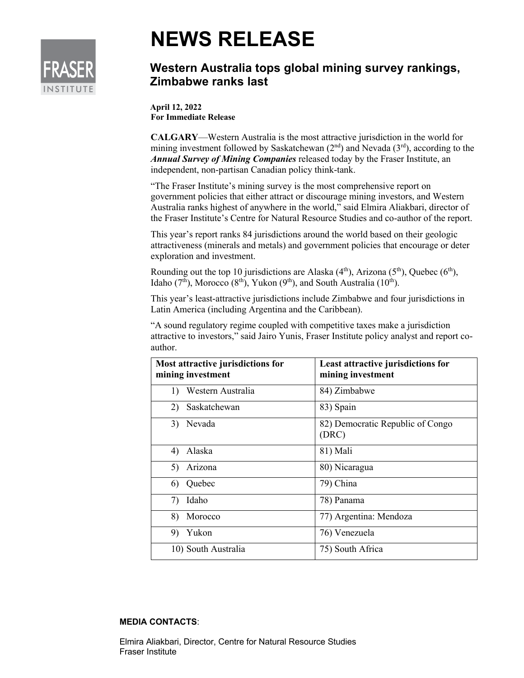

## **NEWS RELEASE**

## **Western Australia tops global mining survey rankings, Zimbabwe ranks last**

**April 12, 2022 For Immediate Release**

**CALGARY**—Western Australia is the most attractive jurisdiction in the world for mining investment followed by Saskatchewan  $(2<sup>nd</sup>)$  and Nevada  $(3<sup>rd</sup>)$ , according to the *Annual Survey of Mining Companies* released today by the Fraser Institute, an independent, non-partisan Canadian policy think-tank.

"The Fraser Institute's mining survey is the most comprehensive report on government policies that either attract or discourage mining investors, and Western Australia ranks highest of anywhere in the world," said Elmira Aliakbari, director of the Fraser Institute's Centre for Natural Resource Studies and co-author of the report.

This year's report ranks 84 jurisdictions around the world based on their geologic attractiveness (minerals and metals) and government policies that encourage or deter exploration and investment.

Rounding out the top 10 jurisdictions are Alaska  $(4<sup>th</sup>)$ , Arizona  $(5<sup>th</sup>)$ , Quebec  $(6<sup>th</sup>)$ , Idaho ( $7<sup>th</sup>$ ), Morocco ( $8<sup>th</sup>$ ), Yukon ( $9<sup>th</sup>$ ), and South Australia ( $10<sup>th</sup>$ ).

This year's least-attractive jurisdictions include Zimbabwe and four jurisdictions in Latin America (including Argentina and the Caribbean).

"A sound regulatory regime coupled with competitive taxes make a jurisdiction attractive to investors," said Jairo Yunis, Fraser Institute policy analyst and report coauthor.

| Most attractive jurisdictions for<br>mining investment | Least attractive jurisdictions for<br>mining investment |
|--------------------------------------------------------|---------------------------------------------------------|
| 1) Western Australia                                   | 84) Zimbabwe                                            |
| Saskatchewan<br>2)                                     | 83) Spain                                               |
| 3) Nevada                                              | 82) Democratic Republic of Congo<br>(DRC)               |
| 4) Alaska                                              | 81) Mali                                                |
| 5) Arizona                                             | 80) Nicaragua                                           |
| 6) Quebec                                              | 79) China                                               |
| Idaho<br>7)                                            | 78) Panama                                              |
| 8)<br>Morocco                                          | 77) Argentina: Mendoza                                  |
| Yukon<br>9)                                            | 76) Venezuela                                           |
| 10) South Australia                                    | 75) South Africa                                        |

## **MEDIA CONTACTS**:

Elmira Aliakbari, Director, Centre for Natural Resource Studies Fraser Institute